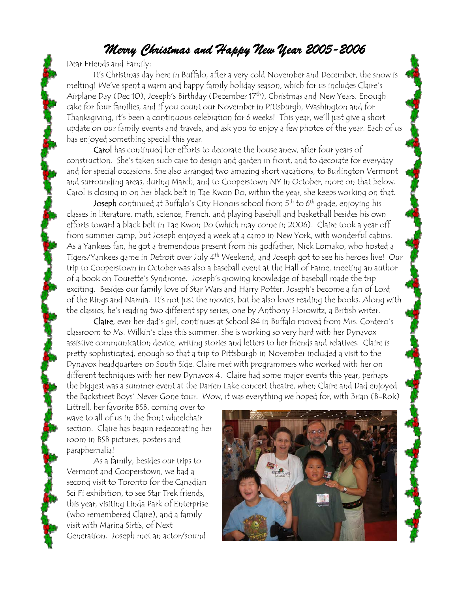## *Merry Christmas and Happy New Year 2005-2006*

Dear Friends and Family:

It's Christmas day here in Buffalo, after a very cold November and December, the snow is melting! We've spent a warm and happy family holiday season, which for us includes Claire's Airplane Day (Dec 10), Joseph's Birthday (December 17<sup>th</sup>), Christmas and New Years. Enough cake for four families, and if you count our November in Pittsburgh, Washington and for Thanksgiving, it's been a continuous celebration for 6 weeks! This year, we'll just give a short update on our family events and travels, and ask you to enjoy a few photos of the year. Each of us has enjoyed something special this year.

Carol has continued her efforts to decorate the house anew, after four years of construction. She's taken such care to design and garden in front, and to decorate for everyday and for special occasions. She also arranged two amazing short vacations, to Burlington Vermont and surrounding areas, during March, and to Cooperstown NY in October, more on that below. Carol is closing in on her black belt in Tae Kwon Do, within the year, she keeps working on that.

Joseph continued at Buffalo's City Honors school from 5<sup>th</sup> to 6<sup>th</sup> grade, enjoying his classes in literature, math, science, French, and playing baseball and basketball besides his own efforts toward a black belt in Tae Kwon Do (which may come in 2006). Claire took a year off from summer camp, but Joseph enjoyed a week at a camp in New York, with wonderful cabins. As a Yankees fan, he got a tremendous present from his godfather, Nick Lomako, who hosted a Tigers/Yankees game in Detroit over July 4th Weekend, and Joseph got to see his heroes live! Our trip to Cooperstown in October was also a baseball event at the Hall of Fame, meeting an author of a book on Tourette's Syndrome. Joseph's growing knowledge of baseball made the trip exciting. Besides our family love of Star Wars and Harry Potter, Joseph's become a fan of Lord of the Rings and Narnia. It's not just the movies, but he also loves reading the books. Along with the classics, he's reading two different spy series, one by Anthony Horowitz, a British writer.

Claire, ever her dad's girl, continues at School 84 in Buffalo moved from Mrs. Cordero's classroom to Ms. Wilkin's class this summer. She is working so very hard with her Dynavox assistive communication device, writing stories and letters to her friends and relatives. Claire is pretty sophisticated, enough so that a trip to Pittsburgh in November included a visit to the Dynavox headquarters on South Side. Claire met with programmers who worked with her on different techniques with her new Dynavox 4. Claire had some major events this year, perhaps the biggest was a summer event at the Darien Lake concert theatre, when Claire and Dad enjoyed the Backstreet Boys' Never Gone tour. Wow, it was everything we hoped for, with Brian (B-Rok)

Littrell, her favorite BSB, coming over to wave to all of us in the front wheelchair section. Claire has begun redecorating her room in BSB pictures, posters and paraphernalia!

As a family, besides our trips to Vermont and Cooperstown, we had a second visit to Toronto for the Canadian Sci Fi exhibition, to see Star Trek friends, this year, visiting Linda Park of Enterprise (who remembered Claire), and a family visit with Marina Sirtis, of Next Generation. Joseph met an actor/sound